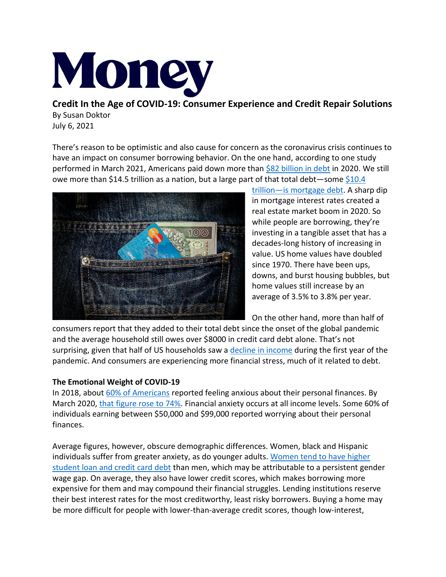

**Credit In the Age of COVID-19: Consumer Experience and Credit Repair Solutions** By Susan Doktor July 6, 2021

There's reason to be optimistic and also cause for concern as the coronavirus crisis continues to have an impact on consumer borrowing behavior. On the one hand, according to one study performed in March 2021, Americans paid down more than [\\$82 billion in debt](https://wallethub.com/edu/cc/credit-card-debt-study/24400) in 2020. We still owe more than \$14.5 trillion as a nation, but a large part of that total debt-some  $$10.4$ 



trillion—[is mortgage debt.](https://www.debt.org/faqs/americans-in-debt/) A sharp dip in mortgage interest rates created a real estate market boom in 2020. So while people are borrowing, they're investing in a tangible asset that has a decades-long history of increasing in value. US home values have doubled since 1970. There have been ups, downs, and burst housing bubbles, but home values still increase by an average of 3.5% to 3.8% per year.

On the other hand, more than half of

consumers report that they added to their total debt since the onset of the global pandemic and the average household still owes over \$8000 in credit card debt alone. That's not surprising, given that half of US households saw a [decline in income](https://fas.org/sgp/crs/misc/R46578.pdf) during the first year of the pandemic. And consumers are experiencing more financial stress, much of it related to debt.

# **The Emotional Weight of COVID-19**

In 2018, about [60% of Americans](https://gflec.org/wp-content/uploads/2021/04/Anxiety-and-Stress-Report-GFLEC-FINRA-FINAL.pdf?x55020) reported feeling anxious about their personal finances. By March 2020, [that figure rose to 74%.](https://voxeu.org/article/coronavirus-perceptions-and-economic-anxiety) Financial anxiety occurs at all income levels. Some 60% of individuals earning between \$50,000 and \$99,000 reported worrying about their personal finances.

Average figures, however, obscure demographic differences. Women, black and Hispanic individuals suffer from greater anxiety, as do younger adults. [Women tend to have higher](https://www.fool.com/retirement/2018/10/13/first-there-was-the-wage-gap-now-the-debt-gap.aspx)  [student loan and credit card debt](https://www.fool.com/retirement/2018/10/13/first-there-was-the-wage-gap-now-the-debt-gap.aspx) than men, which may be attributable to a persistent gender wage gap. On average, they also have lower credit scores, which makes borrowing more expensive for them and may compound their financial struggles. Lending institutions reserve their best interest rates for the most creditworthy, least risky borrowers. Buying a home may be more difficult for people with lower-than-average credit scores, though low-interest,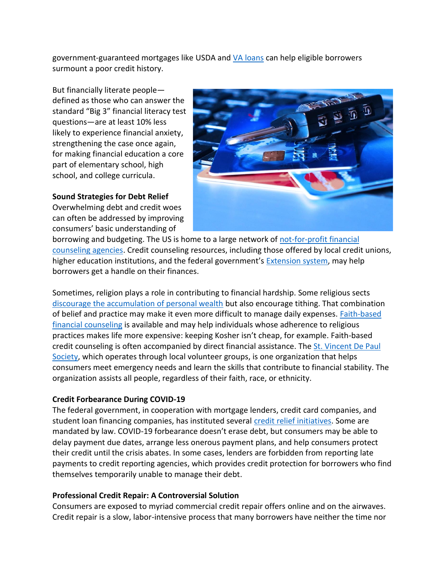government-guaranteed mortgages like USDA and [VA loans](https://money.com/best-va-loans/) can help eligible borrowers surmount a poor credit history.

But financially literate people defined as those who can answer the standard "Big 3" financial literacy test questions—are at least 10% less likely to experience financial anxiety, strengthening the case once again, for making financial education a core part of elementary school, high school, and college curricula.

## **Sound Strategies for Debt Relief**

Overwhelming debt and credit woes can often be addressed by improving consumers' basic understanding of



borrowing and budgeting. The US is home to a large network of [not-for-profit financial](file:///C:/Users/kburnell/Downloads/The%20US%20is%20home%20to%20a%20large%20network%20of%20not-for-profit%20financial%20counseling%20agencies)  [counseling agencies.](file:///C:/Users/kburnell/Downloads/The%20US%20is%20home%20to%20a%20large%20network%20of%20not-for-profit%20financial%20counseling%20agencies) Credit counseling resources, including those offered by local credit unions, higher education institutions, and the federal government's [Extension system,](https://nifa.usda.gov/extension) may help borrowers get a handle on their finances.

Sometimes, religion plays a role in contributing to financial hardship. Some religious sects [discourage the accumulation of personal wealth](https://money.com/faith-finances-jewish-muslim-christian-families/) but also encourage tithing. That combination of belief and practice may make it even more difficult to manage daily expenses. [Faith-based](https://jewishfed.org/news/blog/help-hard-times)  [financial counseling](https://jewishfed.org/news/blog/help-hard-times) is available and may help individuals whose adherence to religious practices makes life more expensive: keeping Kosher isn't cheap, for example. Faith-based credit counseling is often accompanied by direct financial assistance. The [St. Vincent De Paul](https://www.needhelppayingbills.com/html/saint_vincent_de_paul_financia.html)  [Society,](https://www.needhelppayingbills.com/html/saint_vincent_de_paul_financia.html) which operates through local volunteer groups, is one organization that helps consumers meet emergency needs and learn the skills that contribute to financial stability. The organization assists all people, regardless of their faith, race, or ethnicity.

### **Credit Forbearance During COVID-19**

The federal government, in cooperation with mortgage lenders, credit card companies, and student loan financing companies, has instituted several [credit relief initiatives.](https://www.consumerfinance.gov/about-us/blog/protecting-your-credit-during-coronavirus-pandemic/) Some are mandated by law. COVID-19 forbearance doesn't erase debt, but consumers may be able to delay payment due dates, arrange less onerous payment plans, and help consumers protect their credit until the crisis abates. In some cases, lenders are forbidden from reporting late payments to credit reporting agencies, which provides credit protection for borrowers who find themselves temporarily unable to manage their debt.

# **Professional Credit Repair: A Controversial Solution**

Consumers are exposed to myriad commercial credit repair offers online and on the airwaves. Credit repair is a slow, labor-intensive process that many borrowers have neither the time nor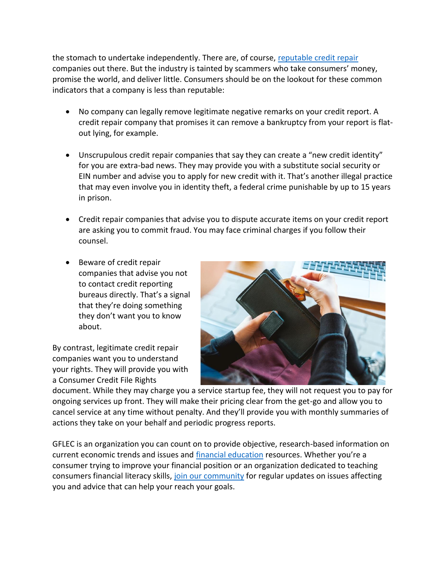the stomach to undertake independently. There are, of course, [reputable credit repair](https://money.com/best-credit-repair-companies/) companies out there. But the industry is tainted by scammers who take consumers' money, promise the world, and deliver little. Consumers should be on the lookout for these common indicators that a company is less than reputable:

- No company can legally remove legitimate negative remarks on your credit report. A credit repair company that promises it can remove a bankruptcy from your report is flatout lying, for example.
- Unscrupulous credit repair companies that say they can create a "new credit identity" for you are extra-bad news. They may provide you with a substitute social security or EIN number and advise you to apply for new credit with it. That's another illegal practice that may even involve you in identity theft, a federal crime punishable by up to 15 years in prison.
- Credit repair companies that advise you to dispute accurate items on your credit report are asking you to commit fraud. You may face criminal charges if you follow their counsel.
- Beware of credit repair companies that advise you not to contact credit reporting bureaus directly. That's a signal that they're doing something they don't want you to know about.

By contrast, legitimate credit repair companies want you to understand your rights. They will provide you with a Consumer Credit File Rights



document. While they may charge you a service startup fee, they will not request you to pay for ongoing services up front. They will make their pricing clear from the get-go and allow you to cancel service at any time without penalty. And they'll provide you with monthly summaries of actions they take on your behalf and periodic progress reports.

GFLEC is an organization you can count on to provide objective, research-based information on current economic trends and issues and [financial education](https://gflec.org/education/) resources. Whether you're a consumer trying to improve your financial position or an organization dedicated to teaching consumers financial literacy skills, [join our community](https://gflec.org/contact/) for regular updates on issues affecting you and advice that can help your reach your goals.